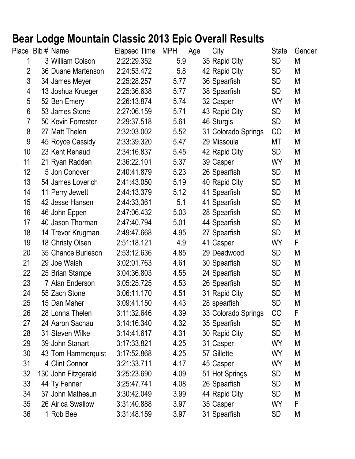## **Bear Lodge Mountain Classic 2013 Epic Overall Results**

|                 | Place Bib # Name    | <b>Elapsed Time</b> | <b>MPH</b> | Age | City                | <b>State</b>    | Gender |
|-----------------|---------------------|---------------------|------------|-----|---------------------|-----------------|--------|
|                 | 3 William Colson    | 2:22:29.352         | 5.9        |     | 35 Rapid City       | <b>SD</b>       | M      |
| $\overline{2}$  | 36 Duane Martenson  | 2:24:53.472         | 5.8        |     | 42 Rapid City       | <b>SD</b>       | M      |
| 3               | 34 James Meyer      | 2:25:28.257         | 5.77       |     | 36 Spearfish        | <b>SD</b>       | M      |
| 4               | 13 Joshua Krueger   | 2:25:36.638         | 5.77       |     | 38 Spearfish        | SD              | М      |
| 5               | 52 Ben Emery        | 2:26:13.874         | 5.74       |     | 32 Casper           | WY              | M      |
| 6               | 53 James Stone      | 2:27:06.159         | 5.71       |     | 43 Rapid City       | <b>SD</b>       | M      |
| $\overline{7}$  | 50 Kevin Forrester  | 2:29:37.518         | 5.61       |     | 46 Sturgis          | <b>SD</b>       | M      |
| 8               | 27 Matt Thelen      | 2:32:03.002         | 5.52       |     | 31 Colorado Springs | CO              | M      |
| 9               | 45 Royce Cassidy    | 2:33:39.320         | 5.47       |     | 29 Missoula         | МT              | M      |
| 10 <sup>1</sup> | 23 Kent Renaud      | 2:34:16.837         | 5.45       |     | 42 Rapid City       | <b>SD</b>       | M      |
| 11              | 21 Ryan Radden      | 2:36:22.101         | 5.37       |     | 39 Casper           | WY              | M      |
| 12 <sup>2</sup> | 5 Jon Conover       | 2:40:41.879         | 5.23       |     | 26 Spearfish        | <b>SD</b>       | М      |
| 13              | 54 James Loverich   | 2:41:43.050         | 5.19       |     | 40 Rapid City       | <b>SD</b>       | M      |
| 14              | 11 Perry Jewett     | 2:44:13.379         | 5.12       |     | 41 Spearfish        | <b>SD</b>       | М      |
| 15              | 42 Jesse Hansen     | 2:44:33.361         | 5.1        |     | 41 Spearfish        | <b>SD</b>       | М      |
| 16              | 46 John Eppen       | 2:47:06.432         | 5.03       |     | 28 Spearfish        | <b>SD</b>       | M      |
| 17              | 40 Jason Thorman    | 2:47:40.794         | 5.01       |     | 44 Spearfish        | <b>SD</b>       | M      |
| 18              | 14 Trevor Krugman   | 2:49:47.668         | 4.95       |     | 27 Spearfish        | <b>SD</b>       | М      |
| 19              | 18 Christy Olsen    | 2:51:18.121         | 4.9        |     | 41 Casper           | <b>WY</b>       | F      |
| 20              | 35 Chance Burleson  | 2:53:12.636         | 4.85       |     | 29 Deadwood         | <b>SD</b>       | M      |
| 21              | 29 Joe Walsh        | 3:02:01.763         | 4.61       |     | 30 Spearfish        | <b>SD</b>       | M      |
| 22              | 25 Brian Stampe     | 3:04:36.803         | 4.55       |     | 24 Spearfish        | <b>SD</b>       | М      |
| 23              | 7 Alan Enderson     | 3:05:25.725         | 4.53       |     | 26 Spearfish        | <b>SD</b>       | М      |
| 24              | 55 Zach Stone       | 3:06:11.170         | 4.51       |     | 31 Rapid City       | <b>SD</b>       | M      |
| 25              | 15 Dan Maher        | 3:09:41.150         | 4.43       |     | 28 spearfish        | <b>SD</b>       | M      |
| 26              | 28 Lonna Thelen     | 3:11:32.646         | 4.39       |     | 33 Colorado Springs | CO              | F      |
| 27              | 24 Aaron Sachau     | 3:14:16.340         | 4.32       |     | 35 Spearfish        | <b>SD</b>       | M      |
| 28              | 31 Steven Wilke     | 3:14:41.617         | 4.31       |     | 30 Rapid City       | SD              | M      |
| 29              | 39 John Stanart     | 3:17:33.821         | 4.25       |     | 31 Casper           | <b>WY</b>       | M      |
| 30              | 43 Tom Hammerquist  | 3:17:52.868         | 4.25       |     | 57 Gillette         | WY              | M      |
| 31              | 4 Clint Connor      | 3:21:33.711         | 4.17       |     | 45 Casper           | WY.             | M      |
| 32              | 130 John Fitzgerald | 3:25:23.690         | 4.09       |     | 51 Hot Springs      | <b>SD</b>       | M      |
| 33              | 44 Ty Fenner        | 3:25:47.741         | 4.08       |     | 26 Spearfish        | SD              | M      |
| 34              | 37 John Mathesun    | 3:30:42.049         | 3.99       |     | 44 Rapid City       | SD <sub>.</sub> | M      |
| 35              | 26 Airica Swallow   | 3:31:40.888         | 3.97       |     | 35 Casper           | WY              | F      |
| 36              | 1 Rob Bee           | 3:31:48.159         | 3.97       |     | 31 Spearfish        | <b>SD</b>       | М      |